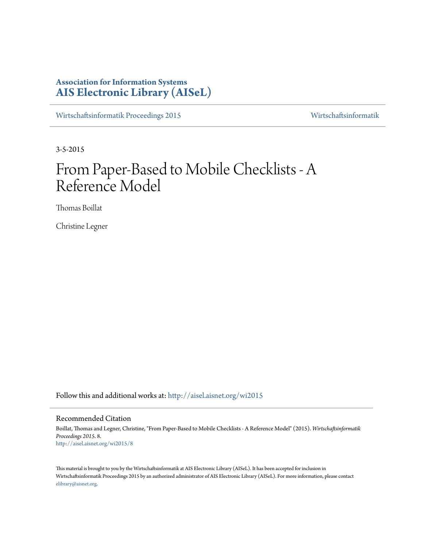# **Association for Information Systems [AIS Electronic Library \(AISeL\)](http://aisel.aisnet.org?utm_source=aisel.aisnet.org%2Fwi2015%2F8&utm_medium=PDF&utm_campaign=PDFCoverPages)**

[Wirtschaftsinformatik Proceedings 2015](http://aisel.aisnet.org/wi2015?utm_source=aisel.aisnet.org%2Fwi2015%2F8&utm_medium=PDF&utm_campaign=PDFCoverPages) [Wirtschaftsinformatik](http://aisel.aisnet.org/wi?utm_source=aisel.aisnet.org%2Fwi2015%2F8&utm_medium=PDF&utm_campaign=PDFCoverPages)

3-5-2015

# From Paper-Based to Mobile Checklists - A Reference Model

Thomas Boillat

Christine Legner

Follow this and additional works at: [http://aisel.aisnet.org/wi2015](http://aisel.aisnet.org/wi2015?utm_source=aisel.aisnet.org%2Fwi2015%2F8&utm_medium=PDF&utm_campaign=PDFCoverPages)

## Recommended Citation

Boillat, Thomas and Legner, Christine, "From Paper-Based to Mobile Checklists - A Reference Model" (2015). *Wirtschaftsinformatik Proceedings 2015*. 8. [http://aisel.aisnet.org/wi2015/8](http://aisel.aisnet.org/wi2015/8?utm_source=aisel.aisnet.org%2Fwi2015%2F8&utm_medium=PDF&utm_campaign=PDFCoverPages)

This material is brought to you by the Wirtschaftsinformatik at AIS Electronic Library (AISeL). It has been accepted for inclusion in Wirtschaftsinformatik Proceedings 2015 by an authorized administrator of AIS Electronic Library (AISeL). For more information, please contact [elibrary@aisnet.org.](mailto:elibrary@aisnet.org%3E)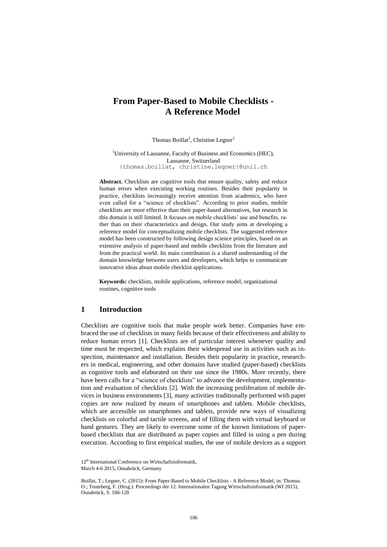# **From Paper-Based to Mobile Checklists - A Reference Model**

Thomas Boillat<sup>1</sup>, Christine Legner<sup>1</sup>

<sup>1</sup>University of Lausanne, Faculty of Business and Economics (HEC). Lausanne, Switzerland {thomas.boillat, christine.legner}@unil.ch

**Abstract.** Checklists are cognitive tools that ensure quality, safety and reduce human errors when executing working routines. Besides their popularity in practice, checklists increasingly receive attention from academics, who have even called for a "science of checklists". According to prior studies, mobile checklists are more effective than their paper-based alternatives, but research in this domain is still limited. It focuses on mobile checklists' use and benefits, rather than on their characteristics and design. Our study aims at developing a reference model for conceptualizing mobile checklists. The suggested reference model has been constructed by following design science principles, based on an extensive analysis of paper-based and mobile checklists from the literature and from the practical world. Its main contribution is a shared understanding of the domain knowledge between users and developers, which helps to communicate innovative ideas about mobile checklist applications.

**Keywords:** checklists, mobile applications, reference model, organizational routines, cognitive tools

## **1 Introduction**

Checklists are cognitive tools that make people work better. Companies have embraced the use of checklists in many fields because of their effectiveness and ability to reduce human errors [1]. Checklists are of particular interest whenever quality and time must be respected, which explains their widespread use in activities such as inspection, maintenance and installation. Besides their popularity in practice, researchers in medical, engineering, and other domains have studied (paper-based) checklists as cognitive tools and elaborated on their use since the 1980s. More recently, there have been calls for a "science of checklists" to advance the development, implementation and evaluation of checklists [2]. With the increasing proliferation of mobile devices in business environments [3], many activities traditionally performed with paper copies are now realized by means of smartphones and tablets. Mobile checklists, which are accessible on smartphones and tablets, provide new ways of visualizing checklists on colorful and tactile screens, and of filling them with virtual keyboard or hand gestures. They are likely to overcome some of the known limitations of paperbased checklists that are distributed as paper copies and filled in using a pen during execution. According to first empirical studies, the use of mobile devices as a support

<sup>12&</sup>lt;sup>th</sup> International Conference on Wirtschaftsinformatik. March 4-6 2015, Osnabrück, Germany

Boillat, T.; Legner, C. (2015): From Paper-Based to Mobile Checklists - A Reference Model, in: Thomas. O.; Teuteberg, F. (Hrsg.): Proceedings der 12. Internationalen Tagung Wirtschaftsinformatik (WI 2015), Osnabrück, S. 106-120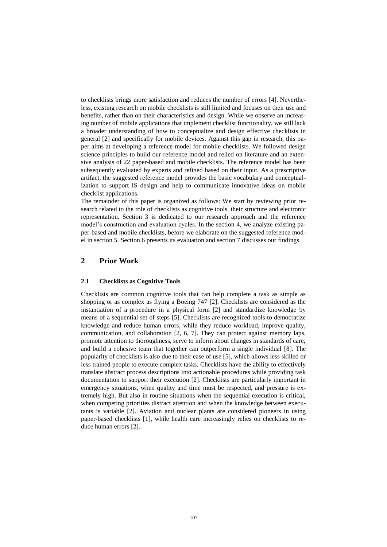to checklists brings more satisfaction and reduces the number of errors [4]. Nevertheless, existing research on mobile checklists is still limited and focuses on their use and benefits, rather than on their characteristics and design. While we observe an increasing number of mobile applications that implement checklist functionality, we still lack a broader understanding of how to conceptualize and design effective checklists in general [2] and specifically for mobile devices. Against this gap in research, this paper aims at developing a reference model for mobile checklists. We followed design science principles to build our reference model and relied on literature and an extensive analysis of 22 paper-based and mobile checklists. The reference model has been subsequently evaluated by experts and refined based on their input. As a prescriptive artifact, the suggested reference model provides the basic vocabulary and conceptualization to support IS design and help to communicate innovative ideas on mobile checklist applications.

The remainder of this paper is organized as follows: We start by reviewing prior research related to the role of checklists as cognitive tools, their structure and electronic representation. Section 3 is dedicated to our research approach and the reference model's construction and evaluation cycles. In the section 4, we analyze existing paper-based and mobile checklists, before we elaborate on the suggested reference model in section 5. Section 6 presents its evaluation and section 7 discusses our findings.

# **2 Prior Work**

#### **2.1 Checklists as Cognitive Tools**

Checklists are common cognitive tools that can help complete a task as simple as shopping or as complex as flying a Boeing 747 [2]. Checklists are considered as the instantiation of a procedure in a physical form [2] and standardize knowledge by means of a sequential set of steps [5]. Checklists are recognized tools to democratize knowledge and reduce human errors, while they reduce workload, improve quality, communication, and collaboration [2, 6, 7]. They can protect against memory laps, promote attention to thoroughness, serve to inform about changes in standards of care, and build a cohesive team that together can outperform a single individual [8]. The popularity of checklists is also due to their ease of use [5], which allows less skilled or less trained people to execute complex tasks. Checklists have the ability to effectively translate abstract process descriptions into actionable procedures while providing task documentation to support their execution [2]. Checklists are particularly important in emergency situations, when quality and time must be respected, and pressure is extremely high. But also in routine situations when the sequential execution is critical, when competing priorities distract attention and when the knowledge between executants is variable [2]. Aviation and nuclear plants are considered pioneers in using paper-based checklists [1], while health care increasingly relies on checklists to reduce human errors [2].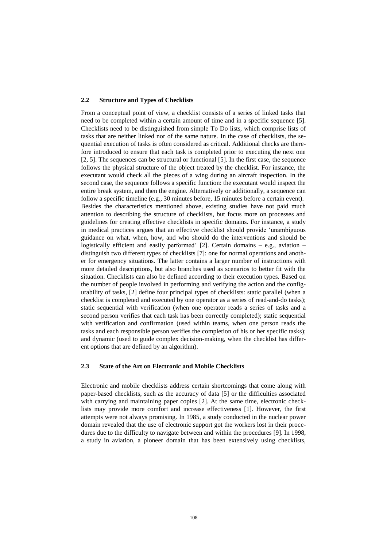#### **2.2 Structure and Types of Checklists**

From a conceptual point of view, a checklist consists of a series of linked tasks that need to be completed within a certain amount of time and in a specific sequence [5]. Checklists need to be distinguished from simple To Do lists, which comprise lists of tasks that are neither linked nor of the same nature. In the case of checklists, the sequential execution of tasks is often considered as critical. Additional checks are therefore introduced to ensure that each task is completed prior to executing the next one [2, 5]. The sequences can be structural or functional [5]. In the first case, the sequence follows the physical structure of the object treated by the checklist. For instance, the executant would check all the pieces of a wing during an aircraft inspection. In the second case, the sequence follows a specific function: the executant would inspect the entire break system, and then the engine. Alternatively or additionally, a sequence can follow a specific timeline (e.g., 30 minutes before, 15 minutes before a certain event). Besides the characteristics mentioned above, existing studies have not paid much attention to describing the structure of checklists, but focus more on processes and guidelines for creating effective checklists in specific domains. For instance, a study in medical practices argues that an effective checklist should provide 'unambiguous guidance on what, when, how, and who should do the interventions and should be logistically efficient and easily performed' [2]. Certain domains – e.g., aviation – distinguish two different types of checklists [7]: one for normal operations and another for emergency situations. The latter contains a larger number of instructions with more detailed descriptions, but also branches used as scenarios to better fit with the situation. Checklists can also be defined according to their execution types. Based on the number of people involved in performing and verifying the action and the configurability of tasks, [2] define four principal types of checklists: static parallel (when a checklist is completed and executed by one operator as a series of read-and-do tasks); static sequential with verification (when one operator reads a series of tasks and a second person verifies that each task has been correctly completed); static sequential with verification and confirmation (used within teams, when one person reads the tasks and each responsible person verifies the completion of his or her specific tasks); and dynamic (used to guide complex decision-making, when the checklist has different options that are defined by an algorithm).

#### **2.3 State of the Art on Electronic and Mobile Checklists**

Electronic and mobile checklists address certain shortcomings that come along with paper-based checklists, such as the accuracy of data [5] or the difficulties associated with carrying and maintaining paper copies [2]. At the same time, electronic checklists may provide more comfort and increase effectiveness [1]. However, the first attempts were not always promising. In 1985, a study conducted in the nuclear power domain revealed that the use of electronic support got the workers lost in their procedures due to the difficulty to navigate between and within the procedures [9]. In 1998, a study in aviation, a pioneer domain that has been extensively using checklists,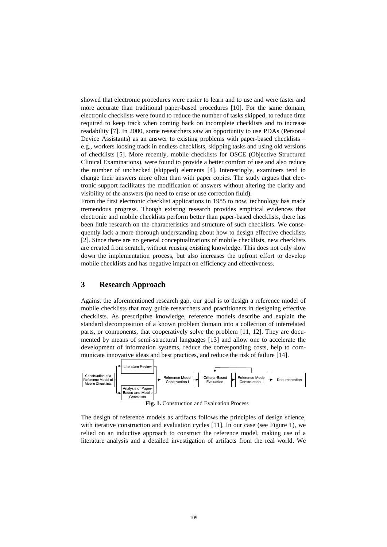showed that electronic procedures were easier to learn and to use and were faster and more accurate than traditional paper-based procedures [10]. For the same domain, electronic checklists were found to reduce the number of tasks skipped, to reduce time required to keep track when coming back on incomplete checklists and to increase readability [7]. In 2000, some researchers saw an opportunity to use PDAs (Personal Device Assistants) as an answer to existing problems with paper-based checklists – e.g., workers loosing track in endless checklists, skipping tasks and using old versions of checklists [5]. More recently, mobile checklists for OSCE (Objective Structured Clinical Examinations), were found to provide a better comfort of use and also reduce the number of unchecked (skipped) elements [4]. Interestingly, examiners tend to change their answers more often than with paper copies. The study argues that electronic support facilitates the modification of answers without altering the clarity and visibility of the answers (no need to erase or use correction fluid).

From the first electronic checklist applications in 1985 to now, technology has made tremendous progress. Though existing research provides empirical evidences that electronic and mobile checklists perform better than paper-based checklists, there has been little research on the characteristics and structure of such checklists. We consequently lack a more thorough understanding about how to design effective checklists [2]. Since there are no general conceptualizations of mobile checklists, new checklists are created from scratch, without reusing existing knowledge. This does not only slow down the implementation process, but also increases the upfront effort to develop mobile checklists and has negative impact on efficiency and effectiveness.

# **3 Research Approach**

Against the aforementioned research gap, our goal is to design a reference model of mobile checklists that may guide researchers and practitioners in designing effective checklists. As prescriptive knowledge, reference models describe and explain the standard decomposition of a known problem domain into a collection of interrelated parts, or components, that cooperatively solve the problem [11, 12]. They are documented by means of semi-structural languages [13] and allow one to accelerate the development of information systems, reduce the corresponding costs, help to communicate innovative ideas and best practices, and reduce the risk of failure [14].



The design of reference models as artifacts follows the principles of design science, with iterative construction and evaluation cycles [11]. In our case (see Figure 1), we relied on an inductive approach to construct the reference model, making use of a literature analysis and a detailed investigation of artifacts from the real world. We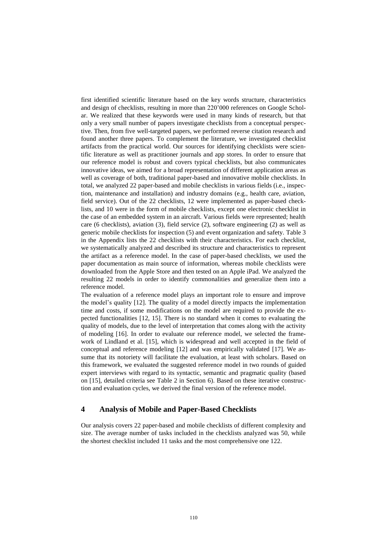first identified scientific literature based on the key words structure, characteristics and design of checklists, resulting in more than 220'000 references on Google Scholar. We realized that these keywords were used in many kinds of research, but that only a very small number of papers investigate checklists from a conceptual perspective. Then, from five well-targeted papers, we performed reverse citation research and found another three papers. To complement the literature, we investigated checklist artifacts from the practical world. Our sources for identifying checklists were scientific literature as well as practitioner journals and app stores. In order to ensure that our reference model is robust and covers typical checklists, but also communicates innovative ideas, we aimed for a broad representation of different application areas as well as coverage of both, traditional paper-based and innovative mobile checklists. In total, we analyzed 22 paper-based and mobile checklists in various fields (i.e., inspection, maintenance and installation) and industry domains (e.g., health care, aviation, field service). Out of the 22 checklists, 12 were implemented as paper-based checklists, and 10 were in the form of mobile checklists, except one electronic checklist in the case of an embedded system in an aircraft. Various fields were represented; health care (6 checklists), aviation (3), field service (2), software engineering (2) as well as generic mobile checklists for inspection (5) and event organization and safety. Table 3 in the Appendix lists the 22 checklists with their characteristics. For each checklist, we systematically analyzed and described its structure and characteristics to represent the artifact as a reference model. In the case of paper-based checklists, we used the paper documentation as main source of information, whereas mobile checklists were downloaded from the Apple Store and then tested on an Apple iPad. We analyzed the resulting 22 models in order to identify commonalities and generalize them into a reference model.

The evaluation of a reference model plays an important role to ensure and improve the model's quality [12]. The quality of a model directly impacts the implementation time and costs, if some modifications on the model are required to provide the expected functionalities [12, 15]. There is no standard when it comes to evaluating the quality of models, due to the level of interpretation that comes along with the activity of modeling [16]. In order to evaluate our reference model, we selected the framework of Lindland et al. [15], which is widespread and well accepted in the field of conceptual and reference modeling [12] and was empirically validated [17]. We assume that its notoriety will facilitate the evaluation, at least with scholars. Based on this framework, we evaluated the suggested reference model in two rounds of guided expert interviews with regard to its syntactic, semantic and pragmatic quality (based on [15], detailed criteria see Table 2 in Section 6). Based on these iterative construction and evaluation cycles, we derived the final version of the reference model.

# **4 Analysis of Mobile and Paper-Based Checklists**

Our analysis covers 22 paper-based and mobile checklists of different complexity and size. The average number of tasks included in the checklists analyzed was 50, while the shortest checklist included 11 tasks and the most comprehensive one 122.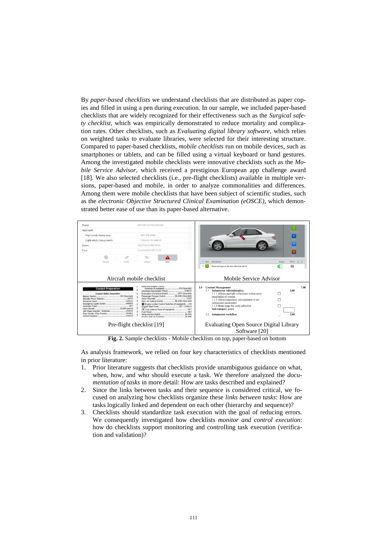By *paper-based checklists* we understand checklists that are distributed as paper copies and filled in using a pen during execution. In our sample, we included paper-based checklists that are widely recognized for their effectiveness such as the *Surgical safety checklist*, which was empirically demonstrated to reduce mortality and complication rates. Other checklists, such as *Evaluating digital library software*, which relies on weighted tasks to evaluate libraries, were selected for their interesting structure. Compared to paper-based checklists, *mobile checklists* run on mobile devices, such as smartphones or tablets, and can be filled using a virtual keyboard or hand gestures. Among the investigated mobile checklists were innovative checklists such as the *Mobile Service Advisor,* which received a prestigious European app challenge award [18]. We also selected checklists (i.e., pre-flight checklists) available in multiple versions, paper-based and mobile, in order to analyze commonalities and differences. Among them were mobile checklists that have been subject of scientific studies, such as the *electronic Objective Structured Clinical Examination (eOSCE)*, which demonstrated better ease of use than its paper-based alternative.



**Fig. 2.** Sample checklists - Mobile checklists on top, paper-based on bottom

As analysis framework, we relied on four key characteristics of checklists mentioned in prior literature:

- 1. Prior literature suggests that checklists provide unambiguous guidance on what, when, how, and who should execute a task. We therefore analyzed the *documentation of tasks* in more detail: How are tasks described and explained?
- 2. Since the links between tasks and their sequence is considered critical, we focused on analyzing how checklists organize these *links between tasks*: How are tasks logically linked and dependent on each other (hierarchy and sequence)?
- 3. Checklists should standardize task execution with the goal of reducing errors. We consequently investigated how checklists *monitor and control execution*: how do checklists support monitoring and controlling task execution (verification and validation)?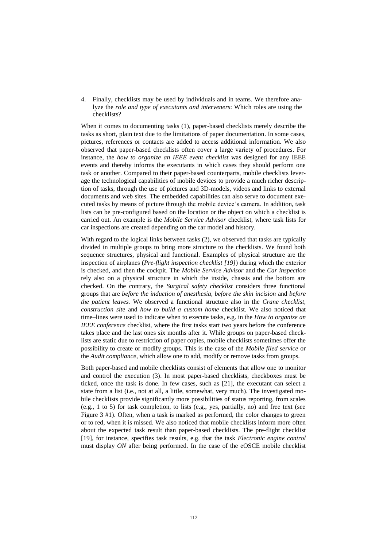4. Finally, checklists may be used by individuals and in teams. We therefore analyze the *role and type of executants and interveners*: Which roles are using the checklists?

When it comes to documenting tasks (1), paper-based checklists merely describe the tasks as short, plain text due to the limitations of paper documentation. In some cases, pictures, references or contacts are added to access additional information. We also observed that paper-based checklists often cover a large variety of procedures. For instance, the *how to organize an IEEE event checklist* was designed for any IEEE events and thereby informs the executants in which cases they should perform one task or another. Compared to their paper-based counterparts, mobile checklists leverage the technological capabilities of mobile devices to provide a much richer description of tasks, through the use of pictures and 3D-models, videos and links to external documents and web sites. The embedded capabilities can also serve to document executed tasks by means of picture through the mobile device's camera. In addition, task lists can be pre-configured based on the location or the object on which a checklist is carried out. An example is the *Mobile Service Advisor* checklist, where task lists for car inspections are created depending on the car model and history.

With regard to the logical links between tasks (2), we observed that tasks are typically divided in multiple groups to bring more structure to the checklists. We found both sequence structures, physical and functional. Examples of physical structure are the inspection of airplanes (*Pre-flight inspection checklist [19]*) during which the exterior is checked, and then the cockpit. The *Mobile Service Advisor* and the *Car inspection* rely also on a physical structure in which the inside, chassis and the bottom are checked. On the contrary, the *Surgical safety checklist* considers three functional groups that are *before the induction of anesthesia, before the skin incision* and *before the patient leaves.* We observed a functional structure also in the *Crane checklist, construction site* and *how to build a custom home* checklist. We also noticed that time–lines were used to indicate when to execute tasks, e.g. in the *How to organize an IEEE conference* checklist, where the first tasks start two years before the conference takes place and the last ones six months after it. While groups on paper-based checklists are static due to restriction of paper copies, mobile checklists sometimes offer the possibility to create or modify groups. This is the case of the *Mobile filed service* or the *Audit compliance*, which allow one to add, modify or remove tasks from groups.

Both paper-based and mobile checklists consist of elements that allow one to monitor and control the execution (3). In most paper-based checklists, checkboxes must be ticked, once the task is done. In few cases, such as [21], the executant can select a state from a list (i.e., not at all, a little, somewhat, very much). The investigated mobile checklists provide significantly more possibilities of status reporting, from scales (e.g., 1 to 5) for task completion, to lists (e.g., yes, partially, no) and free text (see Figure 3 #1). Often, when a task is marked as performed, the color changes to green or to red, when it is missed. We also noticed that mobile checklists inform more often about the expected task result than paper-based checklists. The pre-flight checklist [19], for instance, specifies task results, e.g. that the task *Electronic engine control*  must display *ON* after being performed. In the case of the eOSCE mobile checklist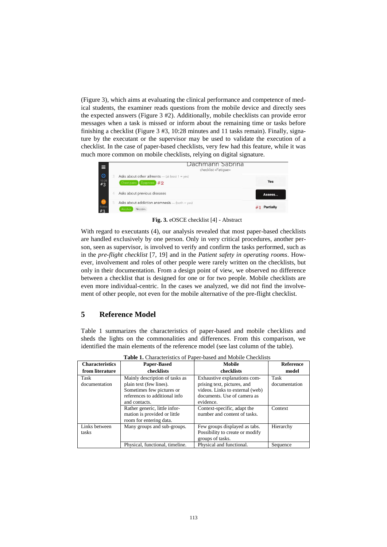(Figure 3), which aims at evaluating the clinical performance and competence of medical students, the examiner reads questions from the mobile device and directly sees the expected answers (Figure 3 #2). Additionally, mobile checklists can provide error messages when a task is missed or inform about the remaining time or tasks before finishing a checklist (Figure  $3 \#3$ , 10:28 minutes and 11 tasks remain). Finally, signature by the executant or the supervisor may be used to validate the execution of a checklist. In the case of paper-based checklists, very few had this feature, while it was much more common on mobile checklists, relying on digital signature.



**Fig. 3.** eOSCE checklist [4] - Abstract

With regard to executants (4), our analysis revealed that most paper-based checklists are handled exclusively by one person. Only in very critical procedures, another person, seen as supervisor, is involved to verify and confirm the tasks performed, such as in the *pre-flight checklist* [7, 19] and in the *Patient safety in operating rooms*. However, involvement and roles of other people were rarely written on the checklists, but only in their documentation. From a design point of view, we observed no difference between a checklist that is designed for one or for two people. Mobile checklists are even more individual-centric. In the cases we analyzed, we did not find the involvement of other people, not even for the mobile alternative of the pre-flight checklist.

# **5 Reference Model**

Table 1 summarizes the characteristics of paper-based and mobile checklists and sheds the lights on the commonalities and differences. From this comparison, we identified the main elements of the reference model (see last column of the table).

<span id="page-8-0"></span>

| <b>Table 1.</b> Characteristics of I aper-based and mobile Checkinsts |                                 |                                 |                  |  |  |  |  |  |
|-----------------------------------------------------------------------|---------------------------------|---------------------------------|------------------|--|--|--|--|--|
| <b>Characteristics</b>                                                | <b>Paper-Based</b>              | Mobile                          | <b>Reference</b> |  |  |  |  |  |
| from literature                                                       | checklists                      | checklists                      | model            |  |  |  |  |  |
| Task                                                                  | Mainly description of tasks as  | Exhaustive explanations com-    | Task             |  |  |  |  |  |
| documentation                                                         | plain text (few lines).         | prising text, pictures, and     | documentation    |  |  |  |  |  |
|                                                                       | Sometimes few pictures or       | videos. Links to external (web) |                  |  |  |  |  |  |
|                                                                       | references to additional info   | documents. Use of camera as     |                  |  |  |  |  |  |
|                                                                       | and contacts.                   | evidence.                       |                  |  |  |  |  |  |
|                                                                       | Rather generic, little infor-   | Context-specific, adapt the     | Context          |  |  |  |  |  |
|                                                                       | mation is provided or little    | number and content of tasks.    |                  |  |  |  |  |  |
|                                                                       | room for entering data.         |                                 |                  |  |  |  |  |  |
| Links between                                                         | Many groups and sub-groups.     | Few groups displayed as tabs.   | Hierarchy        |  |  |  |  |  |
| tasks                                                                 |                                 | Possibility to create or modify |                  |  |  |  |  |  |
|                                                                       |                                 | groups of tasks.                |                  |  |  |  |  |  |
|                                                                       | Physical, functional, timeline. | Physical and functional.        | Sequence         |  |  |  |  |  |

**Table 1.** Characteristics of Paper-based and Mobile Checklists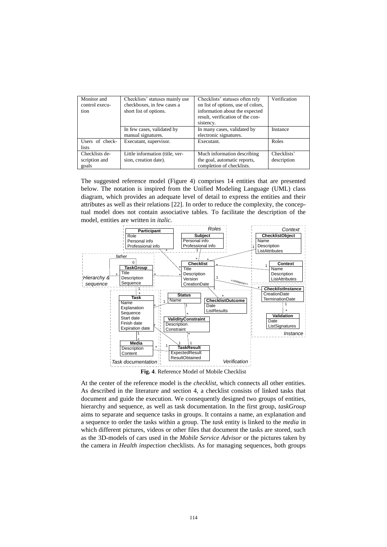| Monitor and<br>control execu-<br>tion    | Checklists' statuses mainly use<br>checkboxes, in few cases a<br>short list of options. | Checklists' statuses often rely<br>on list of options, use of colors,<br>information about the expected<br>result, verification of the con-<br>sistency. | Verification               |  |
|------------------------------------------|-----------------------------------------------------------------------------------------|----------------------------------------------------------------------------------------------------------------------------------------------------------|----------------------------|--|
|                                          | In few cases, validated by<br>manual signatures.                                        | In many cases, validated by<br>electronic signatures.                                                                                                    | Instance                   |  |
| Users of check-<br><i>lists</i>          | Executant, supervisor.                                                                  | Executant.                                                                                                                                               | Roles                      |  |
| Checklists de-<br>scription and<br>goals | Little information (title, ver-<br>sion, creation date).                                | Much information describing<br>the goal, automatic reports,<br>completion of checklists.                                                                 | Checklists'<br>description |  |

The suggested reference model (Figure 4) comprises 14 entities that are presented below. The notation is inspired from the Unified Modeling Language (UML) class diagram, which provides an adequate level of detail to express the entities and their attributes as well as their relations [22]. In order to reduce the complexity, the conceptual model does not contain associative tables. To facilitate the description of the model, entities are written in *italic.*



At the center of the reference model is the *checklist*, which connects all other entities. As described in the literature and section 4, a checklist consists of linked tasks that document and guide the execution. We consequently designed two groups of entities, hierarchy and sequence, as well as task documentation. In the first group, *taskGroup* aims to separate and sequence tasks in groups. It contains a name, an explanation and a sequence to order the tasks within a group. The *task* entity is linked to the *media* in which different pictures, videos or other files that document the tasks are stored, such as the 3D-models of cars used in the *Mobile Service Advisor* or the pictures taken by the camera in *Health inspection* checklists. As for managing sequences, both groups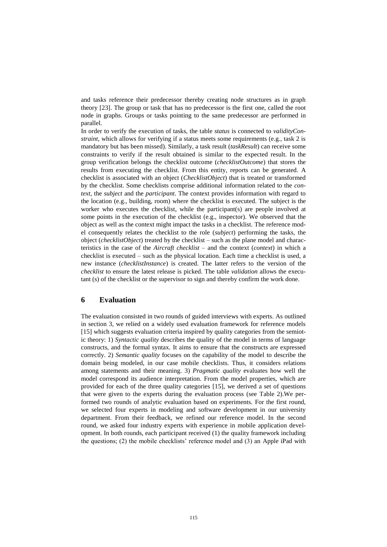and tasks reference their predecessor thereby creating node structures as in graph theory [23]. The group or task that has no predecessor is the first one, called the root node in graphs. Groups or tasks pointing to the same predecessor are performed in parallel.

In order to verify the execution of tasks, the table *status* is connected to *validityConstraint*, which allows for verifying if a status meets some requirements (e.g., task 2 is mandatory but has been missed). Similarly, a task result (*taskResult*) can receive some constraints to verify if the result obtained is similar to the expected result. In the group verification belongs the checklist outcome (*checklistOutcome*) that stores the results from executing the checklist. From this entity, reports can be generated. A checklist is associated with an object (*ChecklistObject*) that is treated or transformed by the checklist. Some checklists comprise additional information related to the *context*, the *subject* and the *participant*. The context provides information with regard to the location (e.g., building, room) where the checklist is executed. The subject is the worker who executes the checklist, while the participant(s) are people involved at some points in the execution of the checklist (e.g., inspector). We observed that the object as well as the context might impact the tasks in a checklist. The reference model consequently relates the checklist to the role (*subject*) performing the tasks, the object (*checklistObject*) treated by the checklist – such as the plane model and characteristics in the case of the *Aircraft checklist* – and the context (*context*) in which a checklist is executed – such as the physical location*.* Each time a checklist is used, a new instance (*checklistInstance*) is created. The latter refers to the version of the *checklist* to ensure the latest release is picked. The table *validation* allows the executant (s) of the checklist or the supervisor to sign and thereby confirm the work done.

# **6 Evaluation**

The evaluation consisted in two rounds of guided interviews with experts. As outlined in section 3, we relied on a widely used evaluation framework for reference models [15] which suggests evaluation criteria inspired by quality categories from the semiotic theory: 1) *Syntactic quality* describes the quality of the model in terms of language constructs, and the formal syntax. It aims to ensure that the constructs are expressed correctly. 2) *Semantic quality* focuses on the capability of the model to describe the domain being modeled, in our case mobile checklists. Thus, it considers relations among statements and their meaning. 3) *Pragmatic quality* evaluates how well the model correspond its audience interpretation. From the model properties, which are provided for each of the three quality categories [15], we derived a set of questions that were given to the experts during the evaluation process (see Table 2).We performed two rounds of analytic evaluation based on experiments. For the first round, we selected four experts in modeling and software development in our university department. From their feedback, we refined our reference model. In the second round, we asked four industry experts with experience in mobile application development. In both rounds, each participant received (1) the quality framework including the questions; (2) the mobile checklists' reference model and (3) an Apple iPad with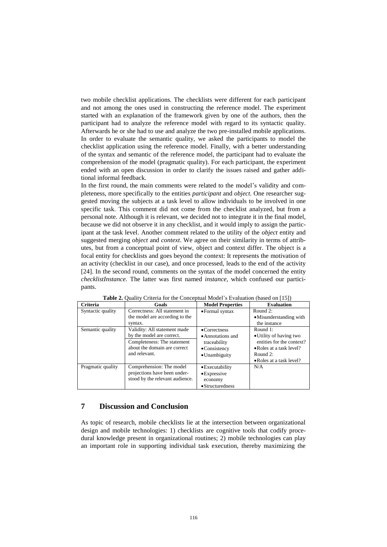two mobile checklist applications. The checklists were different for each participant and not among the ones used in constructing the reference model. The experiment started with an explanation of the framework given by one of the authors, then the participant had to analyze the reference model with regard to its syntactic quality. Afterwards he or she had to use and analyze the two pre-installed mobile applications. In order to evaluate the semantic quality, we asked the participants to model the checklist application using the reference model. Finally, with a better understanding of the syntax and semantic of the reference model, the participant had to evaluate the comprehension of the model (pragmatic quality). For each participant, the experiment ended with an open discussion in order to clarify the issues raised and gather additional informal feedback.

In the first round, the main comments were related to the model's validity and completeness, more specifically to the entities *participant* and *object.* One researcher suggested moving the subjects at a task level to allow individuals to be involved in one specific task. This comment did not come from the checklist analyzed, but from a personal note. Although it is relevant, we decided not to integrate it in the final model, because we did not observe it in any checklist, and it would imply to assign the participant at the task level. Another comment related to the utility of the *object* entity and suggested merging *object* and *context*. We agree on their similarity in terms of attributes, but from a conceptual point of view, object and context differ. The object is a focal entity for checklists and goes beyond the context: It represents the motivation of an activity (checklist in our case), and once processed, leads to the end of the activity [24]. In the second round, comments on the syntax of the model concerned the entity *checklistInstance.* The latter was first named *instance,* which confused our participants.

| Criteria          | Goals                                                                                                                                     | <b>Model Properties</b>                                                                                      | <b>Evaluation</b>                                                                                                                       |
|-------------------|-------------------------------------------------------------------------------------------------------------------------------------------|--------------------------------------------------------------------------------------------------------------|-----------------------------------------------------------------------------------------------------------------------------------------|
| Syntactic quality | Correctness: All statement in<br>the model are according to the<br>syntax.                                                                | • Formal syntax                                                                                              | Round $2$ :<br>•Misunderstanding with<br>the instance                                                                                   |
| Semantic quality  | Validity: All statement made<br>by the model are correct.<br>Completeness: The statement<br>about the domain are correct<br>and relevant. | $\bullet$ Correctness<br>• Annotations and<br>traceability<br>$\bullet$ Consistency<br>$\bullet$ Unambiguity | Round 1:<br>• Utility of having two<br>entities for the context?<br>• Roles at a task level?<br>Round $2$ :<br>• Roles at a task level? |
| Pragmatic quality | Comprehension: The model<br>projections have been under-<br>stood by the relevant audience.                                               | • Executability<br>$\bullet$ Expressive<br>economy<br>• Structuredness                                       | N/A                                                                                                                                     |

**Table 2.** Quality Criteria for the Conceptual Model's Evaluation (based on [15])

# **7 Discussion and Conclusion**

As topic of research, mobile checklists lie at the intersection between organizational design and mobile technologies: 1) checklists are cognitive tools that codify procedural knowledge present in organizational routines; 2) mobile technologies can play an important role in supporting individual task execution, thereby maximizing the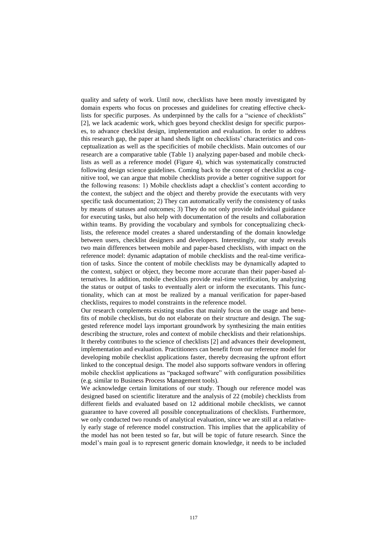quality and safety of work. Until now, checklists have been mostly investigated by domain experts who focus on processes and guidelines for creating effective checklists for specific purposes. As underpinned by the calls for a "science of checklists" [2], we lack academic work, which goes beyond checklist design for specific purposes, to advance checklist design, implementation and evaluation. In order to address this research gap, the paper at hand sheds light on checklists' characteristics and conceptualization as well as the specificities of mobile checklists. Main outcomes of our research are a comparative table [\(Table 1\)](#page-8-0) analyzing paper-based and mobile checklists as well as a reference model (Figure 4), which was systematically constructed following design science guidelines. Coming back to the concept of checklist as cognitive tool, we can argue that mobile checklists provide a better cognitive support for the following reasons: 1) Mobile checklists adapt a checklist's content according to the context, the subject and the object and thereby provide the executants with very specific task documentation; 2) They can automatically verify the consistency of tasks by means of statuses and outcomes; 3) They do not only provide individual guidance for executing tasks, but also help with documentation of the results and collaboration within teams. By providing the vocabulary and symbols for conceptualizing checklists, the reference model creates a shared understanding of the domain knowledge between users, checklist designers and developers. Interestingly, our study reveals two main differences between mobile and paper-based checklists, with impact on the reference model: dynamic adaptation of mobile checklists and the real-time verification of tasks. Since the content of mobile checklists may be dynamically adapted to the context, subject or object, they become more accurate than their paper-based alternatives. In addition, mobile checklists provide real-time verification, by analyzing the status or output of tasks to eventually alert or inform the executants. This functionality, which can at most be realized by a manual verification for paper-based checklists, requires to model constraints in the reference model.

Our research complements existing studies that mainly focus on the usage and benefits of mobile checklists, but do not elaborate on their structure and design. The suggested reference model lays important groundwork by synthesizing the main entities describing the structure, roles and context of mobile checklists and their relationships. It thereby contributes to the science of checklists [2] and advances their development, implementation and evaluation. Practitioners can benefit from our reference model for developing mobile checklist applications faster, thereby decreasing the upfront effort linked to the conceptual design. The model also supports software vendors in offering mobile checklist applications as "packaged software" with configuration possibilities (e.g. similar to Business Process Management tools).

We acknowledge certain limitations of our study. Though our reference model was designed based on scientific literature and the analysis of 22 (mobile) checklists from different fields and evaluated based on 12 additional mobile checklists, we cannot guarantee to have covered all possible conceptualizations of checklists. Furthermore, we only conducted two rounds of analytical evaluation, since we are still at a relatively early stage of reference model construction. This implies that the applicability of the model has not been tested so far, but will be topic of future research. Since the model's main goal is to represent generic domain knowledge, it needs to be included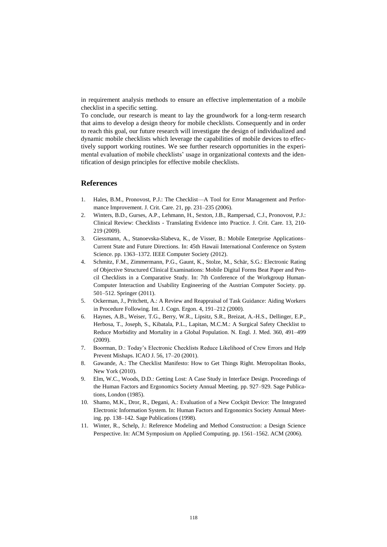in requirement analysis methods to ensure an effective implementation of a mobile checklist in a specific setting.

To conclude, our research is meant to lay the groundwork for a long-term research that aims to develop a design theory for mobile checklists. Consequently and in order to reach this goal, our future research will investigate the design of individualized and dynamic mobile checklists which leverage the capabilities of mobile devices to effectively support working routines. We see further research opportunities in the experimental evaluation of mobile checklists' usage in organizational contexts and the identification of design principles for effective mobile checklists.

#### **References**

- 1. Hales, B.M., Pronovost, P.J.: The Checklist—A Tool for Error Management and Performance Improvement. J. Crit. Care. 21, pp. 231–235 (2006).
- 2. Winters, B.D., Gurses, A.P., Lehmann, H., Sexton, J.B., Rampersad, C.J., Pronovost, P.J.: Clinical Review: Checklists - Translating Evidence into Practice. J. Crit. Care. 13, 210- 219 (2009).
- 3. Giessmann, A., Stanoevska-Slabeva, K., de Visser, B.: Mobile Enterprise Applications– Current State and Future Directions. In: 45th Hawaii International Conference on System Science. pp. 1363–1372. IEEE Computer Society (2012).
- 4. Schmitz, F.M., Zimmermann, P.G., Gaunt, K., Stolze, M., Schär, S.G.: Electronic Rating of Objective Structured Clinical Examinations: Mobile Digital Forms Beat Paper and Pencil Checklists in a Comparative Study. In: 7th Conference of the Workgroup Human-Computer Interaction and Usability Engineering of the Austrian Computer Society. pp. 501–512. Springer (2011).
- 5. Ockerman, J., Pritchett, A.: A Review and Reappraisal of Task Guidance: Aiding Workers in Procedure Following. Int. J. Cogn. Ergon. 4, 191–212 (2000).
- 6. Haynes, A.B., Weiser, T.G., Berry, W.R., Lipsitz, S.R., Breizat, A.-H.S., Dellinger, E.P., Herbosa, T., Joseph, S., Kibatala, P.L., Lapitan, M.C.M.: A Surgical Safety Checklist to Reduce Morbidity and Mortality in a Global Population. N. Engl. J. Med. 360, 491–499 (2009).
- 7. Boorman, D.: Today's Electronic Checklists Reduce Likelihood of Crew Errors and Help Prevent Mishaps. ICAO J. 56, 17–20 (2001).
- 8. Gawande, A.: The Checklist Manifesto: How to Get Things Right. Metropolitan Books, New York (2010).
- 9. Elm, W.C., Woods, D.D.: Getting Lost: A Case Study in Interface Design. Proceedings of the Human Factors and Ergonomics Society Annual Meeting. pp. 927–929. Sage Publications, London (1985).
- 10. Shamo, M.K., Dror, R., Degani, A.: Evaluation of a New Cockpit Device: The Integrated Electronic Information System. In: Human Factors and Ergonomics Society Annual Meeting. pp. 138–142. Sage Publications (1998).
- 11. Winter, R., Schelp, J.: Reference Modeling and Method Construction: a Design Science Perspective. In: ACM Symposium on Applied Computing. pp. 1561–1562. ACM (2006).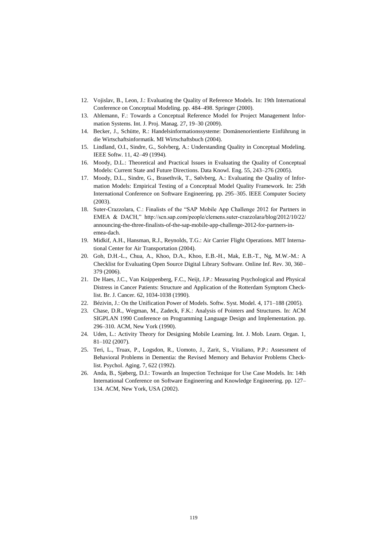- 12. Vojislav, B., Leon, J.: Evaluating the Quality of Reference Models. In: 19th International Conference on Conceptual Modeling. pp. 484–498. Springer (2000).
- 13. Ahlemann, F.: Towards a Conceptual Reference Model for Project Management Information Systems. Int. J. Proj. Manag. 27, 19–30 (2009).
- 14. Becker, J., Schütte, R.: Handelsinformationssysteme: Domänenorientierte Einführung in die Wirtschaftsinformatik. MI Wirtschaftsbuch (2004).
- 15. Lindland, O.I., Sindre, G., Solvberg, A.: Understanding Quality in Conceptual Modeling. IEEE Softw. 11, 42–49 (1994).
- 16. Moody, D.L.: Theoretical and Practical Issues in Evaluating the Quality of Conceptual Models: Current State and Future Directions. Data Knowl. Eng. 55, 243–276 (2005).
- 17. Moody, D.L., Sindre, G., Brasethvik, T., Sølvberg, A.: Evaluating the Quality of Information Models: Empirical Testing of a Conceptual Model Quality Framework. In: 25th International Conference on Software Engineering. pp. 295–305. IEEE Computer Society (2003).
- 18. Suter-Crazzolara, C.: Finalists of the "SAP Mobile App Challenge 2012 for Partners in EMEA & DACH," http://scn.sap.com/people/clemens.suter-crazzolara/blog/2012/10/22/ announcing-the-three-finalists-of-the-sap-mobile-app-challenge-2012-for-partners-inemea-dach.
- 19. Midkif, A.H., Hansman, R.J., Reynolds, T.G.: Air Carrier Flight Operations. MIT International Center for Air Transportation (2004).
- 20. Goh, D.H.-L., Chua, A., Khoo, D.A., Khoo, E.B.-H., Mak, E.B.-T., Ng, M.W.-M.: A Checklist for Evaluating Open Source Digital Library Software. Online Inf. Rev. 30, 360– 379 (2006).
- 21. De Haes, J.C., Van Knippenberg, F.C., Neijt, J.P.: Measuring Psychological and Physical Distress in Cancer Patients: Structure and Application of the Rotterdam Symptom Checklist. Br. J. Cancer. 62, 1034-1038 (1990).
- 22. Bézivin, J.: On the Unification Power of Models. Softw. Syst. Model. 4, 171–188 (2005).
- 23. Chase, D.R., Wegman, M., Zadeck, F.K.: Analysis of Pointers and Structures. In: ACM SIGPLAN 1990 Conference on Programming Language Design and Implementation. pp. 296–310. ACM, New York (1990).
- 24. Uden, L.: Activity Theory for Designing Mobile Learning. Int. J. Mob. Learn. Organ. 1, 81–102 (2007).
- 25. Teri, L., Truax, P., Logsdon, R., Uomoto, J., Zarit, S., Vitaliano, P.P.: Assessment of Behavioral Problems in Dementia: the Revised Memory and Behavior Problems Checklist. Psychol. Aging. 7, 622 (1992).
- 26. Anda, B., Sjøberg, D.I.: Towards an Inspection Technique for Use Case Models. In: 14th International Conference on Software Engineering and Knowledge Engineering. pp. 127– 134. ACM, New York, USA (2002).